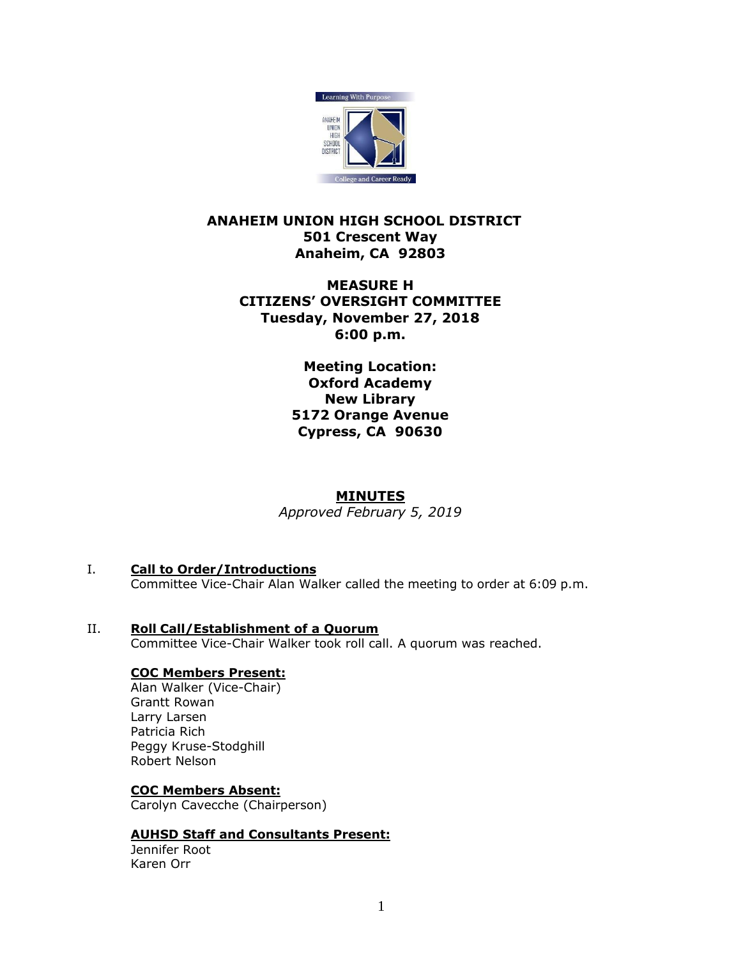

# **ANAHEIM UNION HIGH SCHOOL DISTRICT 501 Crescent Way Anaheim, CA 92803**

# **MEASURE H CITIZENS' OVERSIGHT COMMITTEE Tuesday, November 27, 2018 6:00 p.m.**

**Meeting Location: Oxford Academy New Library 5172 Orange Avenue Cypress, CA 90630**

# **MINUTES**

*Approved February 5, 2019*

- I. **Call to Order/Introductions** Committee Vice-Chair Alan Walker called the meeting to order at 6:09 p.m.
- II. **Roll Call/Establishment of a Quorum** Committee Vice-Chair Walker took roll call. A quorum was reached.

### **COC Members Present:**

Alan Walker (Vice-Chair) Grantt Rowan Larry Larsen Patricia Rich Peggy Kruse-Stodghill Robert Nelson

#### **COC Members Absent:**

Carolyn Cavecche (Chairperson)

### **AUHSD Staff and Consultants Present:**

Jennifer Root Karen Orr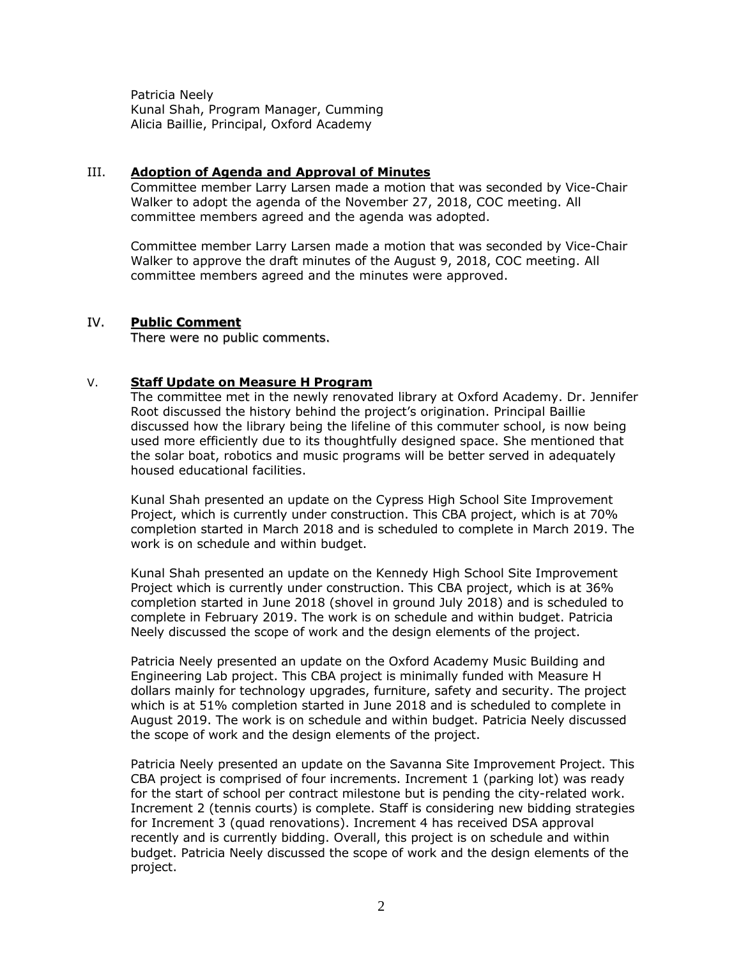Patricia Neely Kunal Shah, Program Manager, Cumming Alicia Baillie, Principal, Oxford Academy

### III. **Adoption of Agenda and Approval of Minutes**

Committee member Larry Larsen made a motion that was seconded by Vice-Chair Walker to adopt the agenda of the November 27, 2018, COC meeting. All committee members agreed and the agenda was adopted.

Committee member Larry Larsen made a motion that was seconded by Vice-Chair Walker to approve the draft minutes of the August 9, 2018, COC meeting. All committee members agreed and the minutes were approved.

### IV. **Public Comment**

There were no public comments.

### V. **Staff Update on Measure H Program**

The committee met in the newly renovated library at Oxford Academy. Dr. Jennifer Root discussed the history behind the project's origination. Principal Baillie discussed how the library being the lifeline of this commuter school, is now being used more efficiently due to its thoughtfully designed space. She mentioned that the solar boat, robotics and music programs will be better served in adequately housed educational facilities.

Kunal Shah presented an update on the Cypress High School Site Improvement Project, which is currently under construction. This CBA project, which is at 70% completion started in March 2018 and is scheduled to complete in March 2019. The work is on schedule and within budget.

Kunal Shah presented an update on the Kennedy High School Site Improvement Project which is currently under construction. This CBA project, which is at 36% completion started in June 2018 (shovel in ground July 2018) and is scheduled to complete in February 2019. The work is on schedule and within budget. Patricia Neely discussed the scope of work and the design elements of the project.

Patricia Neely presented an update on the Oxford Academy Music Building and Engineering Lab project. This CBA project is minimally funded with Measure H dollars mainly for technology upgrades, furniture, safety and security. The project which is at 51% completion started in June 2018 and is scheduled to complete in August 2019. The work is on schedule and within budget. Patricia Neely discussed the scope of work and the design elements of the project.

Patricia Neely presented an update on the Savanna Site Improvement Project. This CBA project is comprised of four increments. Increment 1 (parking lot) was ready for the start of school per contract milestone but is pending the city-related work. Increment 2 (tennis courts) is complete. Staff is considering new bidding strategies for Increment 3 (quad renovations). Increment 4 has received DSA approval recently and is currently bidding. Overall, this project is on schedule and within budget. Patricia Neely discussed the scope of work and the design elements of the project.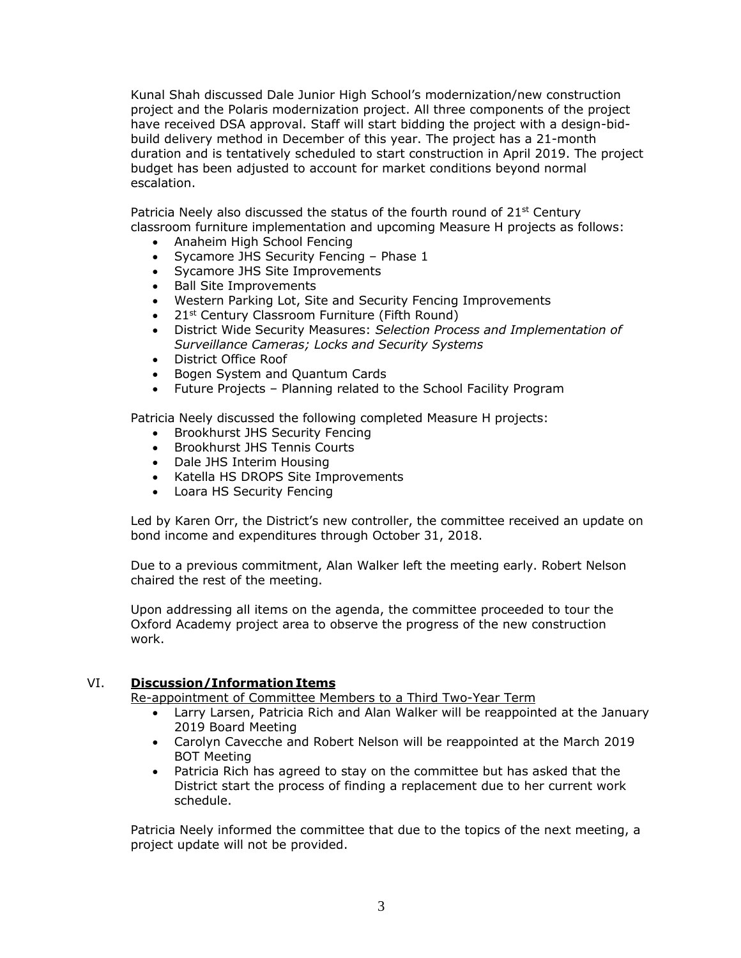Kunal Shah discussed Dale Junior High School's modernization/new construction project and the Polaris modernization project. All three components of the project have received DSA approval. Staff will start bidding the project with a design-bidbuild delivery method in December of this year. The project has a 21-month duration and is tentatively scheduled to start construction in April 2019. The project budget has been adjusted to account for market conditions beyond normal escalation.

Patricia Neely also discussed the status of the fourth round of  $21<sup>st</sup>$  Century classroom furniture implementation and upcoming Measure H projects as follows:

- Anaheim High School Fencing
- Sycamore JHS Security Fencing Phase 1
- Sycamore JHS Site Improvements
- Ball Site Improvements
- Western Parking Lot, Site and Security Fencing Improvements
- 21<sup>st</sup> Century Classroom Furniture (Fifth Round)
- District Wide Security Measures: *Selection Process and Implementation of Surveillance Cameras; Locks and Security Systems*
- District Office Roof
- Bogen System and Quantum Cards
- Future Projects Planning related to the School Facility Program

Patricia Neely discussed the following completed Measure H projects:

- Brookhurst JHS Security Fencing
- Brookhurst JHS Tennis Courts
- Dale JHS Interim Housing
- Katella HS DROPS Site Improvements
- Loara HS Security Fencing

Led by Karen Orr, the District's new controller, the committee received an update on bond income and expenditures through October 31, 2018.

Due to a previous commitment, Alan Walker left the meeting early. Robert Nelson chaired the rest of the meeting.

Upon addressing all items on the agenda, the committee proceeded to tour the Oxford Academy project area to observe the progress of the new construction work.

#### VI. **Discussion/Information Items**

Re-appointment of Committee Members to a Third Two-Year Term

- Larry Larsen, Patricia Rich and Alan Walker will be reappointed at the January 2019 Board Meeting
- Carolyn Cavecche and Robert Nelson will be reappointed at the March 2019 BOT Meeting
- Patricia Rich has agreed to stay on the committee but has asked that the District start the process of finding a replacement due to her current work schedule.

Patricia Neely informed the committee that due to the topics of the next meeting, a project update will not be provided.